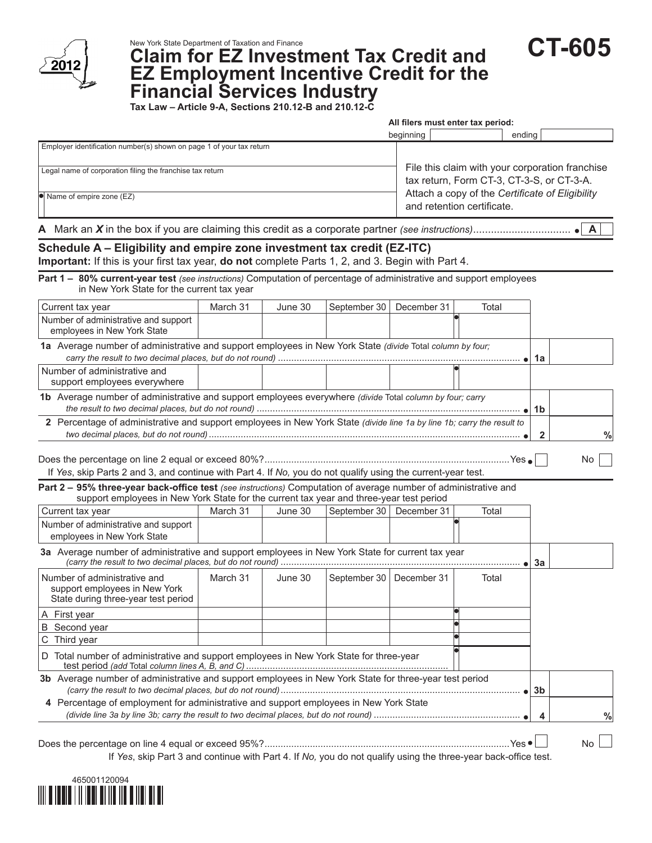

New York State Department of Taxation and Finance **CT-605 EZ Employment Incentive Credit for the** 

**Financial Services Industry Tax Law – Article 9-A, Sections 210.12-B and 210.12-C**

|                                                                                                                                                                                                            |                                                                                                                                                                               |         |              | All filers must enter tax period: |       |              |                           |
|------------------------------------------------------------------------------------------------------------------------------------------------------------------------------------------------------------|-------------------------------------------------------------------------------------------------------------------------------------------------------------------------------|---------|--------------|-----------------------------------|-------|--------------|---------------------------|
|                                                                                                                                                                                                            |                                                                                                                                                                               |         |              | beginning                         |       | ending       |                           |
| Employer identification number(s) shown on page 1 of your tax return                                                                                                                                       |                                                                                                                                                                               |         |              |                                   |       |              |                           |
| Legal name of corporation filing the franchise tax return<br>$\bullet$ Name of empire zone (EZ)                                                                                                            | File this claim with your corporation franchise<br>tax return, Form CT-3, CT-3-S, or CT-3-A.<br>Attach a copy of the Certificate of Eligibility<br>and retention certificate. |         |              |                                   |       |              |                           |
|                                                                                                                                                                                                            |                                                                                                                                                                               |         |              |                                   |       |              |                           |
|                                                                                                                                                                                                            |                                                                                                                                                                               |         |              |                                   |       |              | $\mathsf{A}$<br>$\bullet$ |
| Schedule A - Eligibility and empire zone investment tax credit (EZ-ITC)                                                                                                                                    |                                                                                                                                                                               |         |              |                                   |       |              |                           |
| Important: If this is your first tax year, do not complete Parts 1, 2, and 3. Begin with Part 4.                                                                                                           |                                                                                                                                                                               |         |              |                                   |       |              |                           |
| Part 1 - 80% current-year test (see instructions) Computation of percentage of administrative and support employees<br>in New York State for the current tax year                                          |                                                                                                                                                                               |         |              |                                   |       |              |                           |
| Current tax year                                                                                                                                                                                           | March 31                                                                                                                                                                      | June 30 | September 30 | December 31                       | Total |              |                           |
| Number of administrative and support<br>employees in New York State                                                                                                                                        |                                                                                                                                                                               |         |              |                                   |       |              |                           |
| 1a Average number of administrative and support employees in New York State (divide Total column by four;                                                                                                  |                                                                                                                                                                               |         |              |                                   |       | 1a           |                           |
| Number of administrative and<br>support employees everywhere                                                                                                                                               |                                                                                                                                                                               |         |              |                                   |       |              |                           |
| 1b Average number of administrative and support employees everywhere (divide Total column by four; carry                                                                                                   |                                                                                                                                                                               |         |              |                                   |       | 1b           |                           |
| 2 Percentage of administrative and support employees in New York State (divide line 1a by line 1b; carry the result to                                                                                     |                                                                                                                                                                               |         |              |                                   |       |              |                           |
|                                                                                                                                                                                                            |                                                                                                                                                                               |         |              |                                   |       | $\mathbf{2}$ | $\%$                      |
| If Yes, skip Parts 2 and 3, and continue with Part 4. If No, you do not qualify using the current-year test.                                                                                               |                                                                                                                                                                               |         |              |                                   |       |              | No.                       |
| Part 2 - 95% three-year back-office test (see instructions) Computation of average number of administrative and<br>support employees in New York State for the current tax year and three-year test period |                                                                                                                                                                               |         |              |                                   |       |              |                           |
| Current tax year                                                                                                                                                                                           | March 31                                                                                                                                                                      | June 30 |              | September 30   December 31        | Total |              |                           |
| Number of administrative and support<br>employees in New York State                                                                                                                                        |                                                                                                                                                                               |         |              |                                   |       |              |                           |
| 3a Average number of administrative and support employees in New York State for current tax year                                                                                                           |                                                                                                                                                                               |         |              |                                   |       | 3a           |                           |
| Number of administrative and<br>support employees in New York<br>State during three-year test period                                                                                                       | March 31                                                                                                                                                                      | June 30 |              | September 30   December 31        | Total |              |                           |
| A First year                                                                                                                                                                                               |                                                                                                                                                                               |         |              |                                   |       |              |                           |
| B Second year                                                                                                                                                                                              |                                                                                                                                                                               |         |              |                                   |       |              |                           |
| C Third year                                                                                                                                                                                               |                                                                                                                                                                               |         |              |                                   |       |              |                           |
| D Total number of administrative and support employees in New York State for three-year                                                                                                                    |                                                                                                                                                                               |         |              |                                   |       |              |                           |
| 3b Average number of administrative and support employees in New York State for three-year test period                                                                                                     |                                                                                                                                                                               |         |              |                                   |       | 3b           |                           |
| 4 Percentage of employment for administrative and support employees in New York State                                                                                                                      |                                                                                                                                                                               |         |              |                                   |       |              |                           |
|                                                                                                                                                                                                            |                                                                                                                                                                               |         |              |                                   |       | 4            | $\%$                      |
|                                                                                                                                                                                                            |                                                                                                                                                                               |         |              |                                   |       |              |                           |
|                                                                                                                                                                                                            |                                                                                                                                                                               |         |              |                                   |       |              | <b>No</b>                 |

If *Yes*, skip Part 3 and continue with Part 4. If *No,* you do not qualify using the three-year back-office test.

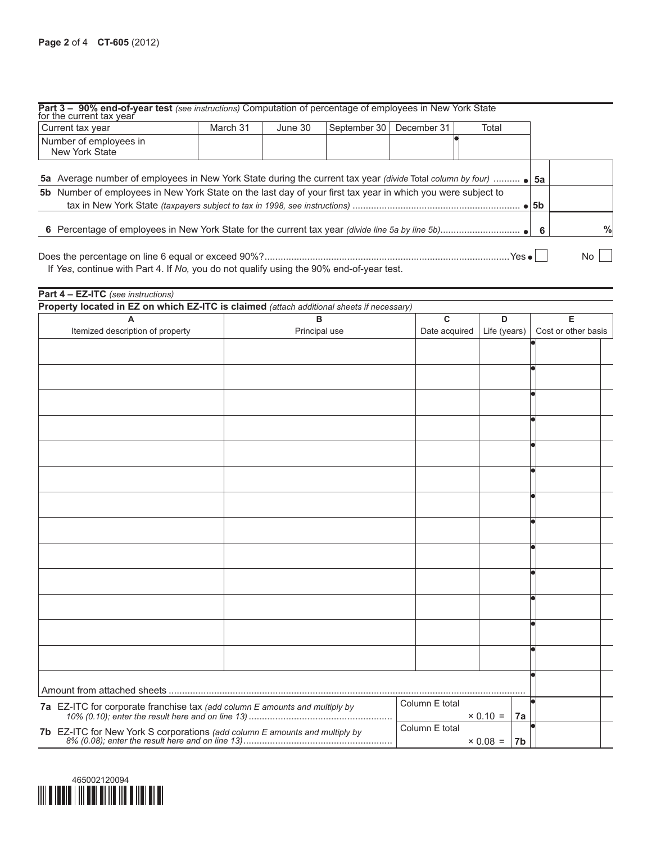| Part 3 - 90% end-of-year test (see instructions) Computation of percentage of employees in New York State for the current tax year<br>Current tax year | March 31 | June 30 | September 30 | December 31 | Total |    |   |
|--------------------------------------------------------------------------------------------------------------------------------------------------------|----------|---------|--------------|-------------|-------|----|---|
| Number of employees in<br>New York State                                                                                                               |          |         |              |             |       |    |   |
| 5a Average number of employees in New York State during the current tax year (divide Total column by four)                                             |          |         |              |             |       | 5a |   |
| 5b Number of employees in New York State on the last day of your first tax year in which you were subject to                                           |          |         |              |             |       |    |   |
|                                                                                                                                                        |          |         |              |             |       | -6 | % |
| If Yes, continue with Part 4. If No, you do not qualify using the 90% end-of-year test.                                                                |          |         |              |             |       |    |   |

| Property located in EZ on which EZ-ITC is claimed (attach additional sheets if necessary) |               |                |                       |                     |
|-------------------------------------------------------------------------------------------|---------------|----------------|-----------------------|---------------------|
| A                                                                                         | B             | C              | D                     | Е                   |
| Itemized description of property                                                          | Principal use | Date acquired  | Life (years)          | Cost or other basis |
|                                                                                           |               |                |                       |                     |
|                                                                                           |               |                |                       |                     |
|                                                                                           |               |                |                       |                     |
|                                                                                           |               |                |                       |                     |
|                                                                                           |               |                |                       |                     |
|                                                                                           |               |                |                       |                     |
|                                                                                           |               |                |                       |                     |
|                                                                                           |               |                |                       |                     |
|                                                                                           |               |                |                       |                     |
|                                                                                           |               |                |                       |                     |
|                                                                                           |               |                |                       |                     |
|                                                                                           |               |                |                       |                     |
|                                                                                           |               |                |                       |                     |
|                                                                                           |               |                |                       |                     |
|                                                                                           |               |                |                       |                     |
|                                                                                           |               |                |                       |                     |
|                                                                                           |               |                |                       |                     |
|                                                                                           |               |                |                       |                     |
|                                                                                           |               |                |                       |                     |
|                                                                                           |               |                |                       |                     |
|                                                                                           |               |                |                       |                     |
|                                                                                           |               |                |                       |                     |
|                                                                                           |               |                |                       |                     |
|                                                                                           |               |                |                       |                     |
|                                                                                           |               |                |                       |                     |
| 7a EZ-ITC for corporate franchise tax (add column E amounts and multiply by               |               | Column E total |                       |                     |
|                                                                                           |               |                | $\times 0.10 =$<br>7a |                     |
|                                                                                           |               | Column E total |                       |                     |
|                                                                                           |               |                | $\times 0.08 =  7b $  |                     |

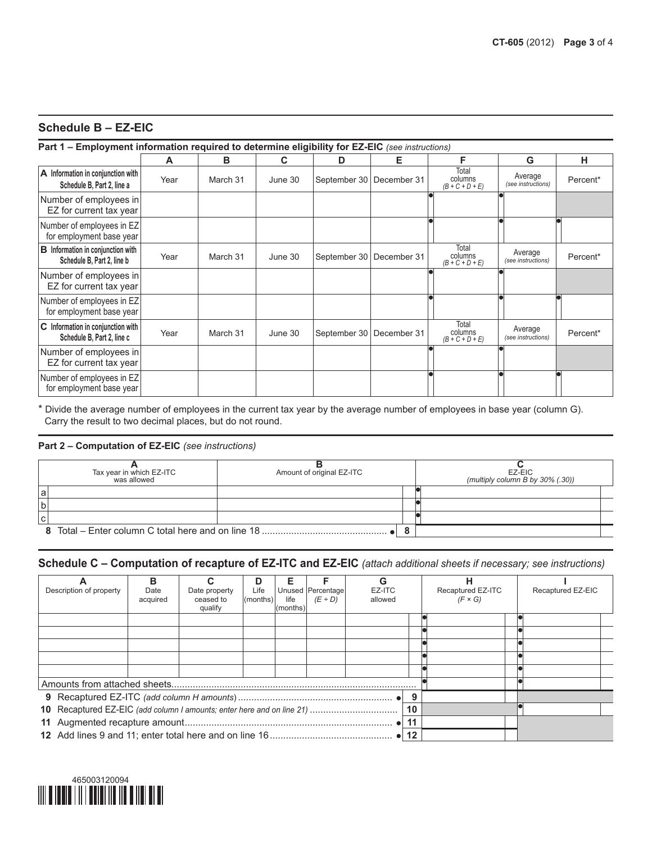## **Schedule B – EZ-EIC**

#### **Part 1 – Employment information required to determine eligibility for EZ-EIC** *(see instructions)*

|                                                                        | A    | в        | C       | D                          | Е | F                                     | G                             | н        |
|------------------------------------------------------------------------|------|----------|---------|----------------------------|---|---------------------------------------|-------------------------------|----------|
| A Information in conjunction with<br>Schedule B, Part 2, line a        | Year | March 31 | June 30 | September 30   December 31 |   | Total<br>columns<br>$(B+C+D+E)$       | Average<br>(see instructions) | Percent* |
| Number of employees in<br>EZ for current tax year                      |      |          |         |                            |   |                                       |                               |          |
| Number of employees in EZ<br>for employment base year                  |      |          |         |                            |   |                                       |                               |          |
| <b>B</b> Information in conjunction with<br>Schedule B, Part 2, line b | Year | March 31 | June 30 | September 30   December 31 |   | Total<br>columns<br>$(B+C+D+E)$       | Average<br>(see instructions) | Percent* |
| Number of employees in<br>EZ for current tax year                      |      |          |         |                            |   |                                       |                               |          |
| Number of employees in EZ<br>for employment base year                  |      |          |         |                            |   |                                       |                               |          |
| C Information in conjunction with<br>Schedule B, Part 2, line c        | Year | March 31 | June 30 | September 30   December 31 |   | Total<br>columns<br>$(B + C + D + E)$ | Average<br>(see instructions) | Percent* |
| Number of employees in<br>EZ for current tax year                      |      |          |         |                            |   |                                       |                               |          |
| Number of employees in EZ<br>for employment base year                  |      |          |         |                            |   |                                       |                               |          |

\* Divide the average number of employees in the current tax year by the average number of employees in base year (column G). Carry the result to two decimal places, but do not round.

#### **Part 2 – Computation of EZ-EIC** *(see instructions)*

|   | Tax year in which EZ-ITC<br>was allowed            | Amount of original EZ-ITC |   | EZ-EIC<br>(multiply column B by $30\%$ (.30)) |
|---|----------------------------------------------------|---------------------------|---|-----------------------------------------------|
| a |                                                    |                           |   |                                               |
|   |                                                    |                           |   |                                               |
|   |                                                    |                           |   |                                               |
|   | 8 Total – Enter column C total here and on line 18 |                           | o |                                               |

# **Schedule C – Computation of recapture of EZ-ITC and EZ-EIC** *(attach additional sheets if necessary; see instructions)*

|                         | в                |                                       | D                | Е                 |                                      | G                 |    |         | н                                   |  |                   |
|-------------------------|------------------|---------------------------------------|------------------|-------------------|--------------------------------------|-------------------|----|---------|-------------------------------------|--|-------------------|
| Description of property | Date<br>acquired | Date property<br>ceased to<br>qualify | Life<br>(months) | life<br>l(months) | Unused   Percentage <br>$(E \div D)$ | EZ-ITC<br>allowed |    |         | Recaptured EZ-ITC<br>$(F \times G)$ |  | Recaptured EZ-EIC |
|                         |                  |                                       |                  |                   |                                      |                   |    |         |                                     |  |                   |
|                         |                  |                                       |                  |                   |                                      |                   |    |         |                                     |  |                   |
|                         |                  |                                       |                  |                   |                                      |                   |    |         |                                     |  |                   |
|                         |                  |                                       |                  |                   |                                      |                   |    |         |                                     |  |                   |
|                         |                  |                                       |                  |                   |                                      |                   |    |         |                                     |  |                   |
|                         |                  |                                       |                  |                   |                                      |                   |    |         |                                     |  |                   |
|                         |                  |                                       |                  |                   |                                      |                   |    | 9       |                                     |  |                   |
|                         |                  |                                       |                  |                   |                                      |                   | 10 |         |                                     |  |                   |
|                         |                  |                                       |                  |                   |                                      |                   |    |         |                                     |  |                   |
|                         |                  |                                       |                  |                   |                                      |                   |    | $12 \,$ |                                     |  |                   |